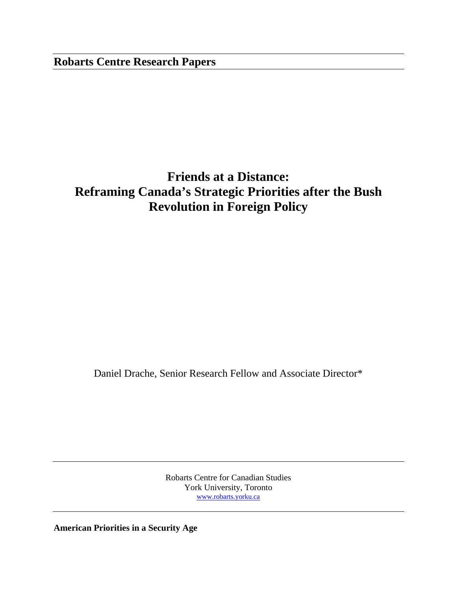## **Robarts Centre Research Papers**

# **Friends at a Distance: Reframing Canada's Strategic Priorities after the Bush Revolution in Foreign Policy**

Daniel Drache, Senior Research Fellow and Associate Director\*

Robarts Centre for Canadian Studies York University, Toronto www.robarts.yorku.ca

**American Priorities in a Security Age**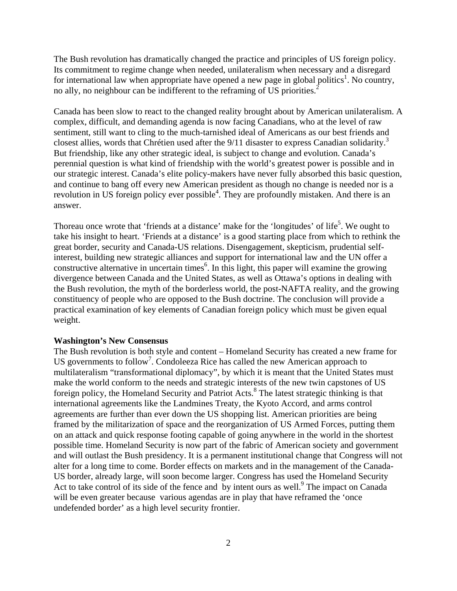The Bush revolution has dramatically changed the practice and principles of US foreign policy. Its commitment to regime change when needed, unilateralism when necessary and a disregard for international law when appropriate have opened a new page in global politics<sup>1</sup>. No country, no ally, no neighbour can be indifferent to the reframing of US priorities.<sup>2</sup>

Canada has been slow to react to the changed reality brought about by American unilateralism. A complex, difficult, and demanding agenda is now facing Canadians, who at the level of raw sentiment, still want to cling to the much-tarnished ideal of Americans as our best friends and closest allies, words that Chrétien used after the 9/11 disaster to express Canadian solidarity.<sup>3</sup> But friendship, like any other strategic ideal, is subject to change and evolution. Canada's perennial question is what kind of friendship with the world's greatest power is possible and in our strategic interest. Canada's elite policy-makers have never fully absorbed this basic question, and continue to bang off every new American president as though no change is needed nor is a revolution in US foreign policy ever possible<sup>4</sup>. They are profoundly mistaken. And there is an answer.

Thoreau once wrote that 'friends at a distance' make for the 'longitudes' of life<sup>5</sup>. We ought to take his insight to heart. 'Friends at a distance' is a good starting place from which to rethink the great border, security and Canada-US relations. Disengagement, skepticism, prudential selfinterest, building new strategic alliances and support for international law and the UN offer a constructive alternative in uncertain times<sup>6</sup>. In this light, this paper will examine the growing divergence between Canada and the United States, as well as Ottawa's options in dealing with the Bush revolution, the myth of the borderless world, the post-NAFTA reality, and the growing constituency of people who are opposed to the Bush doctrine. The conclusion will provide a practical examination of key elements of Canadian foreign policy which must be given equal weight.

#### **Washington's New Consensus**

The Bush revolution is both style and content – Homeland Security has created a new frame for US governments to follow<sup>7</sup>. Condoleeza Rice has called the new American approach to multilateralism "transformational diplomacy", by which it is meant that the United States must make the world conform to the needs and strategic interests of the new twin capstones of US foreign policy, the Homeland Security and Patriot Acts.<sup>8</sup> The latest strategic thinking is that international agreements like the Landmines Treaty, the Kyoto Accord, and arms control agreements are further than ever down the US shopping list. American priorities are being framed by the militarization of space and the reorganization of US Armed Forces, putting them on an attack and quick response footing capable of going anywhere in the world in the shortest possible time. Homeland Security is now part of the fabric of American society and government and will outlast the Bush presidency. It is a permanent institutional change that Congress will not alter for a long time to come. Border effects on markets and in the management of the Canada-US border, already large, will soon become larger. Congress has used the Homeland Security Act to take control of its side of the fence and by intent ours as well.<sup>9</sup> The impact on Canada will be even greater because various agendas are in play that have reframed the 'once undefended border' as a high level security frontier.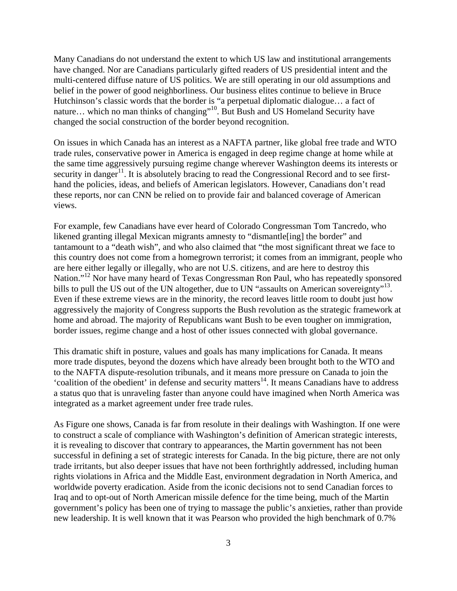Many Canadians do not understand the extent to which US law and institutional arrangements have changed. Nor are Canadians particularly gifted readers of US presidential intent and the multi-centered diffuse nature of US politics. We are still operating in our old assumptions and belief in the power of good neighborliness. Our business elites continue to believe in Bruce Hutchinson's classic words that the border is "a perpetual diplomatic dialogue… a fact of nature... which no man thinks of changing"<sup>10</sup>. But Bush and US Homeland Security have changed the social construction of the border beyond recognition.

On issues in which Canada has an interest as a NAFTA partner, like global free trade and WTO trade rules, conservative power in America is engaged in deep regime change at home while at the same time aggressively pursuing regime change wherever Washington deems its interests or security in danger<sup>11</sup>. It is absolutely bracing to read the Congressional Record and to see firsthand the policies, ideas, and beliefs of American legislators. However, Canadians don't read these reports, nor can CNN be relied on to provide fair and balanced coverage of American views.

For example, few Canadians have ever heard of Colorado Congressman Tom Tancredo, who likened granting illegal Mexican migrants amnesty to "dismantle[ing] the border" and tantamount to a "death wish", and who also claimed that "the most significant threat we face to this country does not come from a homegrown terrorist; it comes from an immigrant, people who are here either legally or illegally, who are not U.S. citizens, and are here to destroy this Nation."<sup>12</sup> Nor have many heard of Texas Congressman Ron Paul, who has repeatedly sponsored bills to pull the US out of the UN altogether, due to UN "assaults on American sovereignty"<sup>13</sup>. Even if these extreme views are in the minority, the record leaves little room to doubt just how aggressively the majority of Congress supports the Bush revolution as the strategic framework at home and abroad. The majority of Republicans want Bush to be even tougher on immigration, border issues, regime change and a host of other issues connected with global governance.

This dramatic shift in posture, values and goals has many implications for Canada. It means more trade disputes, beyond the dozens which have already been brought both to the WTO and to the NAFTA dispute-resolution tribunals, and it means more pressure on Canada to join the  $\cdot$ coalition of the obedient' in defense and security matters<sup>14</sup>. It means Canadians have to address a status quo that is unraveling faster than anyone could have imagined when North America was integrated as a market agreement under free trade rules.

As Figure one shows, Canada is far from resolute in their dealings with Washington. If one were to construct a scale of compliance with Washington's definition of American strategic interests, it is revealing to discover that contrary to appearances, the Martin government has not been successful in defining a set of strategic interests for Canada. In the big picture, there are not only trade irritants, but also deeper issues that have not been forthrightly addressed, including human rights violations in Africa and the Middle East, environment degradation in North America, and worldwide poverty eradication. Aside from the iconic decisions not to send Canadian forces to Iraq and to opt-out of North American missile defence for the time being, much of the Martin government's policy has been one of trying to massage the public's anxieties, rather than provide new leadership. It is well known that it was Pearson who provided the high benchmark of 0.7%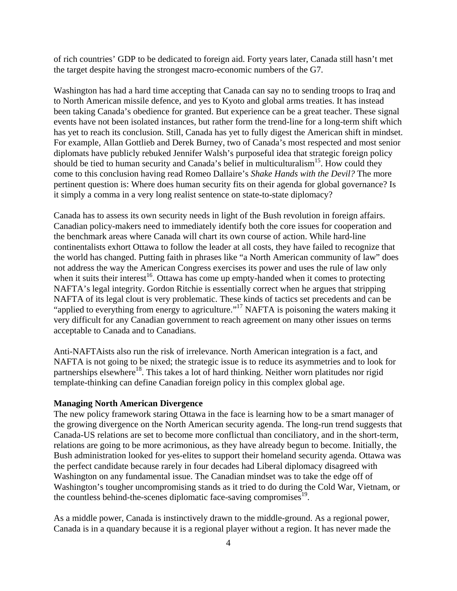of rich countries' GDP to be dedicated to foreign aid. Forty years later, Canada still hasn't met the target despite having the strongest macro-economic numbers of the G7.

Washington has had a hard time accepting that Canada can say no to sending troops to Iraq and to North American missile defence, and yes to Kyoto and global arms treaties. It has instead been taking Canada's obedience for granted. But experience can be a great teacher. These signal events have not been isolated instances, but rather form the trend-line for a long-term shift which has yet to reach its conclusion. Still, Canada has yet to fully digest the American shift in mindset. For example, Allan Gottlieb and Derek Burney, two of Canada's most respected and most senior diplomats have publicly rebuked Jennifer Walsh's purposeful idea that strategic foreign policy should be tied to human security and Canada's belief in multiculturalism<sup>15</sup>. How could they come to this conclusion having read Romeo Dallaire's *Shake Hands with the Devil?* The more pertinent question is: Where does human security fits on their agenda for global governance? Is it simply a comma in a very long realist sentence on state-to-state diplomacy?

Canada has to assess its own security needs in light of the Bush revolution in foreign affairs. Canadian policy-makers need to immediately identify both the core issues for cooperation and the benchmark areas where Canada will chart its own course of action. While hard-line continentalists exhort Ottawa to follow the leader at all costs, they have failed to recognize that the world has changed. Putting faith in phrases like "a North American community of law" does not address the way the American Congress exercises its power and uses the rule of law only when it suits their interest<sup>16</sup>. Ottawa has come up empty-handed when it comes to protecting NAFTA's legal integrity. Gordon Ritchie is essentially correct when he argues that stripping NAFTA of its legal clout is very problematic. These kinds of tactics set precedents and can be "applied to everything from energy to agriculture."<sup>17</sup> NAFTA is poisoning the waters making it very difficult for any Canadian government to reach agreement on many other issues on terms acceptable to Canada and to Canadians.

Anti-NAFTAists also run the risk of irrelevance. North American integration is a fact, and NAFTA is not going to be nixed; the strategic issue is to reduce its asymmetries and to look for partnerships elsewhere<sup>18</sup>. This takes a lot of hard thinking. Neither worn platitudes nor rigid template-thinking can define Canadian foreign policy in this complex global age.

#### **Managing North American Divergence**

The new policy framework staring Ottawa in the face is learning how to be a smart manager of the growing divergence on the North American security agenda. The long-run trend suggests that Canada-US relations are set to become more conflictual than conciliatory, and in the short-term, relations are going to be more acrimonious, as they have already begun to become. Initially, the Bush administration looked for yes-elites to support their homeland security agenda. Ottawa was the perfect candidate because rarely in four decades had Liberal diplomacy disagreed with Washington on any fundamental issue. The Canadian mindset was to take the edge off of Washington's tougher uncompromising stands as it tried to do during the Cold War, Vietnam, or the countless behind-the-scenes diplomatic face-saving compromises $19$ .

As a middle power, Canada is instinctively drawn to the middle-ground. As a regional power, Canada is in a quandary because it is a regional player without a region. It has never made the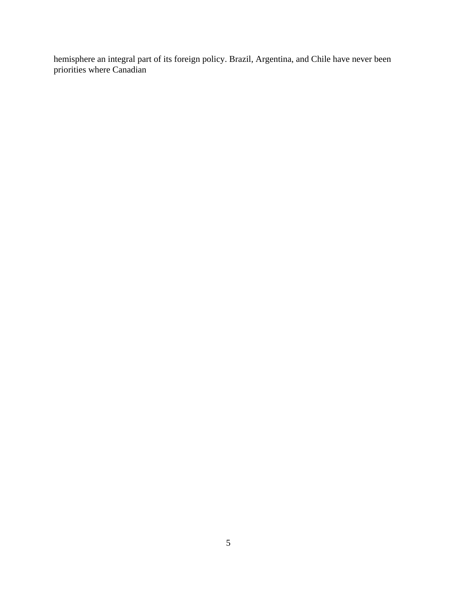hemisphere an integral part of its foreign policy. Brazil, Argentina, and Chile have never been priorities where Canadian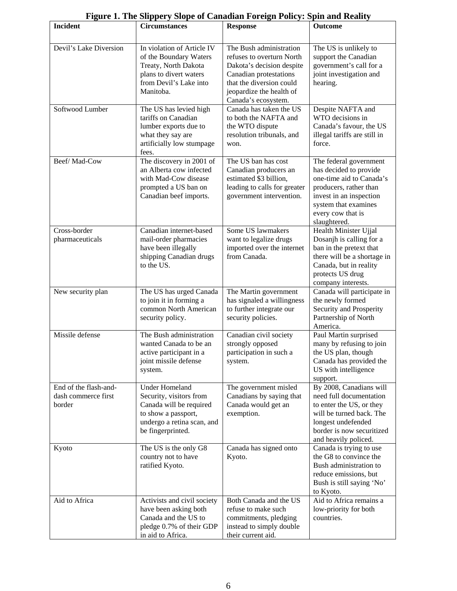|                                                        | гтдиге т. тие эпррегу эюре от санаман гогеди т онеу. эригана кеансу                                                                                   |                                                                                                                                                                                            |                                                                                                                                                                                                |
|--------------------------------------------------------|-------------------------------------------------------------------------------------------------------------------------------------------------------|--------------------------------------------------------------------------------------------------------------------------------------------------------------------------------------------|------------------------------------------------------------------------------------------------------------------------------------------------------------------------------------------------|
| <b>Incident</b>                                        | <b>Circumstances</b>                                                                                                                                  | <b>Response</b>                                                                                                                                                                            | <b>Outcome</b>                                                                                                                                                                                 |
| Devil's Lake Diversion                                 | In violation of Article IV<br>of the Boundary Waters<br>Treaty, North Dakota<br>plans to divert waters<br>from Devil's Lake into<br>Manitoba.         | The Bush administration<br>refuses to overturn North<br>Dakota's decision despite<br>Canadian protestations<br>that the diversion could<br>jeopardize the health of<br>Canada's ecosystem. | The US is unlikely to<br>support the Canadian<br>government's call for a<br>joint investigation and<br>hearing.                                                                                |
| Softwood Lumber                                        | The US has levied high<br>tariffs on Canadian<br>lumber exports due to<br>what they say are<br>artificially low stumpage<br>fees.                     | Canada has taken the US<br>to both the NAFTA and<br>the WTO dispute<br>resolution tribunals, and<br>won.                                                                                   | Despite NAFTA and<br>WTO decisions in<br>Canada's favour, the US<br>illegal tariffs are still in<br>force.                                                                                     |
| Beef/Mad-Cow                                           | The discovery in 2001 of<br>an Alberta cow infected<br>with Mad-Cow disease<br>prompted a US ban on<br>Canadian beef imports.                         | The US ban has cost<br>Canadian producers an<br>estimated \$3 billion,<br>leading to calls for greater<br>government intervention.                                                         | The federal government<br>has decided to provide<br>one-time aid to Canada's<br>producers, rather than<br>invest in an inspection<br>system that examines<br>every cow that is<br>slaughtered. |
| Cross-border<br>pharmaceuticals                        | Canadian internet-based<br>mail-order pharmacies<br>have been illegally<br>shipping Canadian drugs<br>to the US.                                      | Some US lawmakers<br>want to legalize drugs<br>imported over the internet<br>from Canada.                                                                                                  | Health Minister Ujjal<br>Dosanjh is calling for a<br>ban in the pretext that<br>there will be a shortage in<br>Canada, but in reality<br>protects US drug<br>company interests.                |
| New security plan                                      | The US has urged Canada<br>to join it in forming a<br>common North American<br>security policy.                                                       | The Martin government<br>has signaled a willingness<br>to further integrate our<br>security policies.                                                                                      | Canada will participate in<br>the newly formed<br>Security and Prosperity<br>Partnership of North<br>America.                                                                                  |
| Missile defense                                        | The Bush administration<br>wanted Canada to be an<br>active participant in a<br>joint missile defense<br>system.                                      | Canadian civil society<br>strongly opposed<br>participation in such a<br>system.                                                                                                           | Paul Martin surprised<br>many by refusing to join<br>the US plan, though<br>Canada has provided the<br>US with intelligence<br>support.                                                        |
| End of the flash-and-<br>dash commerce first<br>border | <b>Under Homeland</b><br>Security, visitors from<br>Canada will be required<br>to show a passport,<br>undergo a retina scan, and<br>be fingerprinted. | The government misled<br>Canadians by saying that<br>Canada would get an<br>exemption.                                                                                                     | By 2008, Canadians will<br>need full documentation<br>to enter the US, or they<br>will be turned back. The<br>longest undefended<br>border is now securitized<br>and heavily policed.          |
| Kyoto                                                  | The US is the only G8<br>country not to have<br>ratified Kyoto.                                                                                       | Canada has signed onto<br>Kyoto.                                                                                                                                                           | Canada is trying to use<br>the G8 to convince the<br>Bush administration to<br>reduce emissions, but<br>Bush is still saying 'No'<br>to Kyoto.                                                 |
| Aid to Africa                                          | Activists and civil society<br>have been asking both<br>Canada and the US to<br>pledge 0.7% of their GDP<br>in aid to Africa.                         | Both Canada and the US<br>refuse to make such<br>commitments, pledging<br>instead to simply double<br>their current aid.                                                                   | Aid to Africa remains a<br>low-priority for both<br>countries.                                                                                                                                 |

## **Figure 1. The Slippery Slope of Canadian Foreign Policy: Spin and Reality**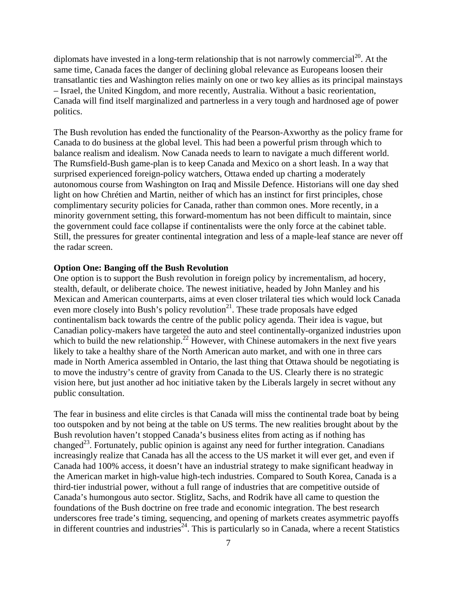diplomats have invested in a long-term relationship that is not narrowly commercial<sup>20</sup>. At the same time, Canada faces the danger of declining global relevance as Europeans loosen their transatlantic ties and Washington relies mainly on one or two key allies as its principal mainstays – Israel, the United Kingdom, and more recently, Australia. Without a basic reorientation, Canada will find itself marginalized and partnerless in a very tough and hardnosed age of power politics.

The Bush revolution has ended the functionality of the Pearson-Axworthy as the policy frame for Canada to do business at the global level. This had been a powerful prism through which to balance realism and idealism. Now Canada needs to learn to navigate a much different world. The Rumsfield-Bush game-plan is to keep Canada and Mexico on a short leash. In a way that surprised experienced foreign-policy watchers, Ottawa ended up charting a moderately autonomous course from Washington on Iraq and Missile Defence. Historians will one day shed light on how Chrétien and Martin, neither of which has an instinct for first principles, chose complimentary security policies for Canada, rather than common ones. More recently, in a minority government setting, this forward-momentum has not been difficult to maintain, since the government could face collapse if continentalists were the only force at the cabinet table. Still, the pressures for greater continental integration and less of a maple-leaf stance are never off the radar screen.

#### **Option One: Banging off the Bush Revolution**

One option is to support the Bush revolution in foreign policy by incrementalism, ad hocery, stealth, default, or deliberate choice. The newest initiative, headed by John Manley and his Mexican and American counterparts, aims at even closer trilateral ties which would lock Canada even more closely into Bush's policy revolution<sup>21</sup>. These trade proposals have edged continentalism back towards the centre of the public policy agenda. Their idea is vague, but Canadian policy-makers have targeted the auto and steel continentally-organized industries upon which to build the new relationship.<sup>22</sup> However, with Chinese automakers in the next five years likely to take a healthy share of the North American auto market, and with one in three cars made in North America assembled in Ontario, the last thing that Ottawa should be negotiating is to move the industry's centre of gravity from Canada to the US. Clearly there is no strategic vision here, but just another ad hoc initiative taken by the Liberals largely in secret without any public consultation.

The fear in business and elite circles is that Canada will miss the continental trade boat by being too outspoken and by not being at the table on US terms. The new realities brought about by the Bush revolution haven't stopped Canada's business elites from acting as if nothing has changed<sup>23</sup>. Fortunately, public opinion is against any need for further integration. Canadians increasingly realize that Canada has all the access to the US market it will ever get, and even if Canada had 100% access, it doesn't have an industrial strategy to make significant headway in the American market in high-value high-tech industries. Compared to South Korea, Canada is a third-tier industrial power, without a full range of industries that are competitive outside of Canada's humongous auto sector. Stiglitz, Sachs, and Rodrik have all came to question the foundations of the Bush doctrine on free trade and economic integration. The best research underscores free trade's timing, sequencing, and opening of markets creates asymmetric payoffs in different countries and industries<sup>24</sup>. This is particularly so in Canada, where a recent Statistics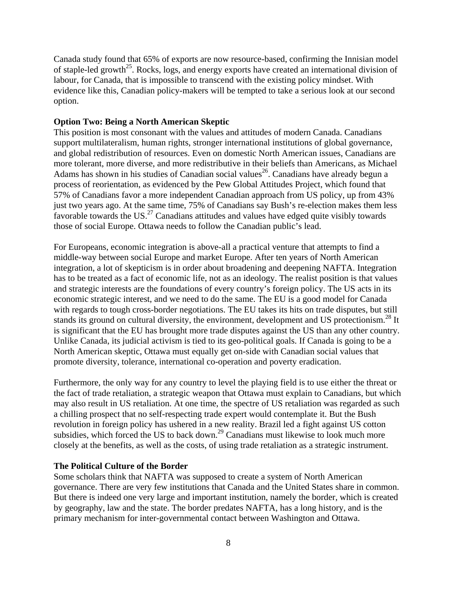Canada study found that 65% of exports are now resource-based, confirming the Innisian model of staple-led growth<sup>25</sup>. Rocks, logs, and energy exports have created an international division of labour, for Canada, that is impossible to transcend with the existing policy mindset. With evidence like this, Canadian policy-makers will be tempted to take a serious look at our second option.

#### **Option Two: Being a North American Skeptic**

This position is most consonant with the values and attitudes of modern Canada. Canadians support multilateralism, human rights, stronger international institutions of global governance, and global redistribution of resources. Even on domestic North American issues, Canadians are more tolerant, more diverse, and more redistributive in their beliefs than Americans, as Michael Adams has shown in his studies of Canadian social values<sup>26</sup>. Canadians have already begun a process of reorientation, as evidenced by the Pew Global Attitudes Project, which found that 57% of Canadians favor a more independent Canadian approach from US policy, up from 43% just two years ago. At the same time, 75% of Canadians say Bush's re-election makes them less favorable towards the US.<sup>27</sup> Canadians attitudes and values have edged quite visibly towards those of social Europe. Ottawa needs to follow the Canadian public's lead.

For Europeans, economic integration is above-all a practical venture that attempts to find a middle-way between social Europe and market Europe. After ten years of North American integration, a lot of skepticism is in order about broadening and deepening NAFTA. Integration has to be treated as a fact of economic life, not as an ideology. The realist position is that values and strategic interests are the foundations of every country's foreign policy. The US acts in its economic strategic interest, and we need to do the same. The EU is a good model for Canada with regards to tough cross-border negotiations. The EU takes its hits on trade disputes, but still stands its ground on cultural diversity, the environment, development and US protectionism.<sup>28</sup> It is significant that the EU has brought more trade disputes against the US than any other country. Unlike Canada, its judicial activism is tied to its geo-political goals. If Canada is going to be a North American skeptic, Ottawa must equally get on-side with Canadian social values that promote diversity, tolerance, international co-operation and poverty eradication.

Furthermore, the only way for any country to level the playing field is to use either the threat or the fact of trade retaliation, a strategic weapon that Ottawa must explain to Canadians, but which may also result in US retaliation. At one time, the spectre of US retaliation was regarded as such a chilling prospect that no self-respecting trade expert would contemplate it. But the Bush revolution in foreign policy has ushered in a new reality. Brazil led a fight against US cotton subsidies, which forced the US to back down.<sup>29</sup> Canadians must likewise to look much more closely at the benefits, as well as the costs, of using trade retaliation as a strategic instrument.

#### **The Political Culture of the Border**

Some scholars think that NAFTA was supposed to create a system of North American governance. There are very few institutions that Canada and the United States share in common. But there is indeed one very large and important institution, namely the border, which is created by geography, law and the state. The border predates NAFTA, has a long history, and is the primary mechanism for inter-governmental contact between Washington and Ottawa.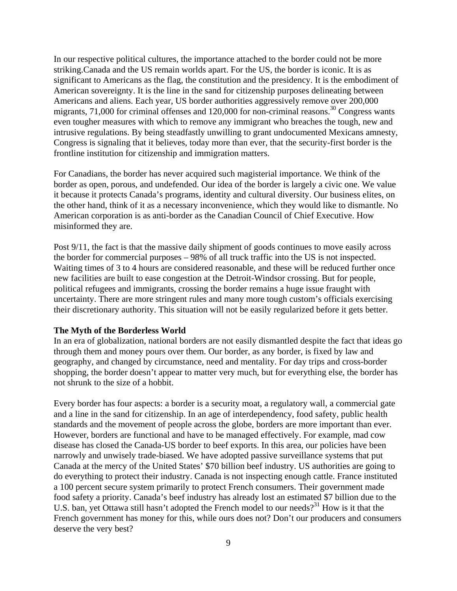In our respective political cultures, the importance attached to the border could not be more striking.Canada and the US remain worlds apart. For the US, the border is iconic. It is as significant to Americans as the flag, the constitution and the presidency. It is the embodiment of American sovereignty. It is the line in the sand for citizenship purposes delineating between Americans and aliens. Each year, US border authorities aggressively remove over 200,000 migrants, 71,000 for criminal offenses and 120,000 for non-criminal reasons.<sup>30</sup> Congress wants even tougher measures with which to remove any immigrant who breaches the tough, new and intrusive regulations. By being steadfastly unwilling to grant undocumented Mexicans amnesty, Congress is signaling that it believes, today more than ever, that the security-first border is the frontline institution for citizenship and immigration matters.

For Canadians, the border has never acquired such magisterial importance. We think of the border as open, porous, and undefended. Our idea of the border is largely a civic one. We value it because it protects Canada's programs, identity and cultural diversity. Our business elites, on the other hand, think of it as a necessary inconvenience, which they would like to dismantle. No American corporation is as anti-border as the Canadian Council of Chief Executive. How misinformed they are.

Post 9/11, the fact is that the massive daily shipment of goods continues to move easily across the border for commercial purposes – 98% of all truck traffic into the US is not inspected. Waiting times of 3 to 4 hours are considered reasonable, and these will be reduced further once new facilities are built to ease congestion at the Detroit-Windsor crossing. But for people, political refugees and immigrants, crossing the border remains a huge issue fraught with uncertainty. There are more stringent rules and many more tough custom's officials exercising their discretionary authority. This situation will not be easily regularized before it gets better.

#### **The Myth of the Borderless World**

In an era of globalization, national borders are not easily dismantled despite the fact that ideas go through them and money pours over them. Our border, as any border, is fixed by law and geography, and changed by circumstance, need and mentality. For day trips and cross-border shopping, the border doesn't appear to matter very much, but for everything else, the border has not shrunk to the size of a hobbit.

Every border has four aspects: a border is a security moat, a regulatory wall, a commercial gate and a line in the sand for citizenship. In an age of interdependency, food safety, public health standards and the movement of people across the globe, borders are more important than ever. However, borders are functional and have to be managed effectively. For example, mad cow disease has closed the Canada-US border to beef exports. In this area, our policies have been narrowly and unwisely trade-biased. We have adopted passive surveillance systems that put Canada at the mercy of the United States' \$70 billion beef industry. US authorities are going to do everything to protect their industry. Canada is not inspecting enough cattle. France instituted a 100 percent secure system primarily to protect French consumers. Their government made food safety a priority. Canada's beef industry has already lost an estimated \$7 billion due to the U.S. ban, yet Ottawa still hasn't adopted the French model to our needs?<sup>31</sup> How is it that the French government has money for this, while ours does not? Don't our producers and consumers deserve the very best?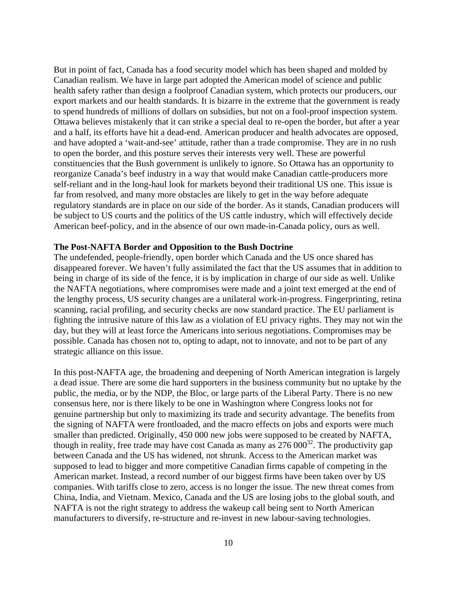But in point of fact, Canada has a food security model which has been shaped and molded by Canadian realism. We have in large part adopted the American model of science and public health safety rather than design a foolproof Canadian system, which protects our producers, our export markets and our health standards. It is bizarre in the extreme that the government is ready to spend hundreds of millions of dollars on subsidies, but not on a fool-proof inspection system. Ottawa believes mistakenly that it can strike a special deal to re-open the border, but after a year and a half, its efforts have hit a dead-end. American producer and health advocates are opposed, and have adopted a 'wait-and-see' attitude, rather than a trade compromise. They are in no rush to open the border, and this posture serves their interests very well. These are powerful constituencies that the Bush government is unlikely to ignore. So Ottawa has an opportunity to reorganize Canada's beef industry in a way that would make Canadian cattle-producers more self-reliant and in the long-haul look for markets beyond their traditional US one. This issue is far from resolved, and many more obstacles are likely to get in the way before adequate regulatory standards are in place on our side of the border. As it stands, Canadian producers will be subject to US courts and the politics of the US cattle industry, which will effectively decide American beef-policy, and in the absence of our own made-in-Canada policy, ours as well.

#### **The Post-NAFTA Border and Opposition to the Bush Doctrine**

The undefended, people-friendly, open border which Canada and the US once shared has disappeared forever. We haven't fully assimilated the fact that the US assumes that in addition to being in charge of its side of the fence, it is by implication in charge of our side as well. Unlike the NAFTA negotiations, where compromises were made and a joint text emerged at the end of the lengthy process, US security changes are a unilateral work-in-progress. Fingerprinting, retina scanning, racial profiling, and security checks are now standard practice. The EU parliament is fighting the intrusive nature of this law as a violation of EU privacy rights. They may not win the day, but they will at least force the Americans into serious negotiations. Compromises may be possible. Canada has chosen not to, opting to adapt, not to innovate, and not to be part of any strategic alliance on this issue.

In this post-NAFTA age, the broadening and deepening of North American integration is largely a dead issue. There are some die hard supporters in the business community but no uptake by the public, the media, or by the NDP, the Bloc, or large parts of the Liberal Party. There is no new consensus here, nor is there likely to be one in Washington where Congress looks not for genuine partnership but only to maximizing its trade and security advantage. The benefits from the signing of NAFTA were frontloaded, and the macro effects on jobs and exports were much smaller than predicted. Originally, 450 000 new jobs were supposed to be created by NAFTA, though in reality, free trade may have cost Canada as many as  $276\,000^{32}$ . The productivity gap between Canada and the US has widened, not shrunk. Access to the American market was supposed to lead to bigger and more competitive Canadian firms capable of competing in the American market. Instead, a record number of our biggest firms have been taken over by US companies. With tariffs close to zero, access is no longer the issue. The new threat comes from China, India, and Vietnam. Mexico, Canada and the US are losing jobs to the global south, and NAFTA is not the right strategy to address the wakeup call being sent to North American manufacturers to diversify, re-structure and re-invest in new labour-saving technologies.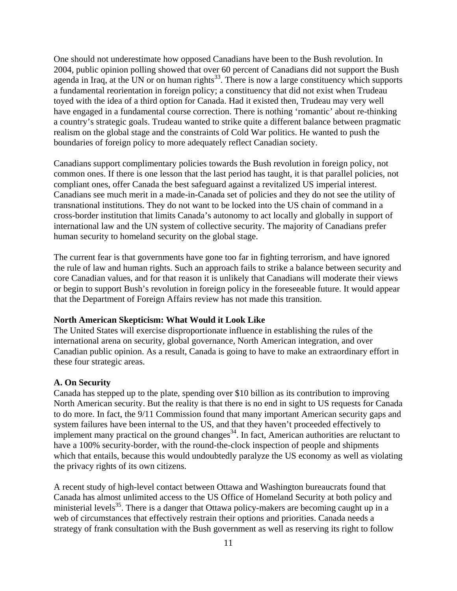One should not underestimate how opposed Canadians have been to the Bush revolution. In 2004, public opinion polling showed that over 60 percent of Canadians did not support the Bush agenda in Iraq, at the UN or on human rights<sup>33</sup>. There is now a large constituency which supports a fundamental reorientation in foreign policy; a constituency that did not exist when Trudeau toyed with the idea of a third option for Canada. Had it existed then, Trudeau may very well have engaged in a fundamental course correction. There is nothing 'romantic' about re-thinking a country's strategic goals. Trudeau wanted to strike quite a different balance between pragmatic realism on the global stage and the constraints of Cold War politics. He wanted to push the boundaries of foreign policy to more adequately reflect Canadian society.

Canadians support complimentary policies towards the Bush revolution in foreign policy, not common ones. If there is one lesson that the last period has taught, it is that parallel policies, not compliant ones, offer Canada the best safeguard against a revitalized US imperial interest. Canadians see much merit in a made-in-Canada set of policies and they do not see the utility of transnational institutions. They do not want to be locked into the US chain of command in a cross-border institution that limits Canada's autonomy to act locally and globally in support of international law and the UN system of collective security. The majority of Canadians prefer human security to homeland security on the global stage.

The current fear is that governments have gone too far in fighting terrorism, and have ignored the rule of law and human rights. Such an approach fails to strike a balance between security and core Canadian values, and for that reason it is unlikely that Canadians will moderate their views or begin to support Bush's revolution in foreign policy in the foreseeable future. It would appear that the Department of Foreign Affairs review has not made this transition.

### **North American Skepticism: What Would it Look Like**

The United States will exercise disproportionate influence in establishing the rules of the international arena on security, global governance, North American integration, and over Canadian public opinion. As a result, Canada is going to have to make an extraordinary effort in these four strategic areas.

#### **A. On Security**

Canada has stepped up to the plate, spending over \$10 billion as its contribution to improving North American security. But the reality is that there is no end in sight to US requests for Canada to do more. In fact, the 9/11 Commission found that many important American security gaps and system failures have been internal to the US, and that they haven't proceeded effectively to implement many practical on the ground changes<sup>34</sup>. In fact, American authorities are reluctant to have a 100% security-border, with the round-the-clock inspection of people and shipments which that entails, because this would undoubtedly paralyze the US economy as well as violating the privacy rights of its own citizens.

A recent study of high-level contact between Ottawa and Washington bureaucrats found that Canada has almost unlimited access to the US Office of Homeland Security at both policy and ministerial levels<sup>35</sup>. There is a danger that Ottawa policy-makers are becoming caught up in a web of circumstances that effectively restrain their options and priorities. Canada needs a strategy of frank consultation with the Bush government as well as reserving its right to follow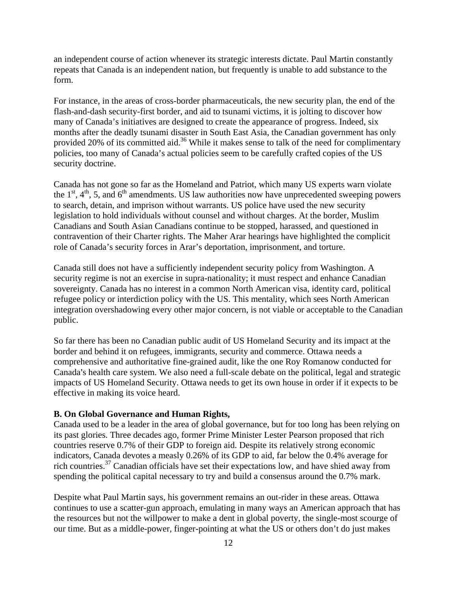an independent course of action whenever its strategic interests dictate. Paul Martin constantly repeats that Canada is an independent nation, but frequently is unable to add substance to the form.

For instance, in the areas of cross-border pharmaceuticals, the new security plan, the end of the flash-and-dash security-first border, and aid to tsunami victims, it is jolting to discover how many of Canada's initiatives are designed to create the appearance of progress. Indeed, six months after the deadly tsunami disaster in South East Asia, the Canadian government has only provided 20% of its committed aid.<sup>36</sup> While it makes sense to talk of the need for complimentary policies, too many of Canada's actual policies seem to be carefully crafted copies of the US security doctrine.

Canada has not gone so far as the Homeland and Patriot, which many US experts warn violate the  $1<sup>st</sup>$ ,  $4<sup>th</sup>$ , 5, and  $6<sup>th</sup>$  amendments. US law authorities now have unprecedented sweeping powers to search, detain, and imprison without warrants. US police have used the new security legislation to hold individuals without counsel and without charges. At the border, Muslim Canadians and South Asian Canadians continue to be stopped, harassed, and questioned in contravention of their Charter rights. The Maher Arar hearings have highlighted the complicit role of Canada's security forces in Arar's deportation, imprisonment, and torture.

Canada still does not have a sufficiently independent security policy from Washington. A security regime is not an exercise in supra-nationality; it must respect and enhance Canadian sovereignty. Canada has no interest in a common North American visa, identity card, political refugee policy or interdiction policy with the US. This mentality, which sees North American integration overshadowing every other major concern, is not viable or acceptable to the Canadian public.

So far there has been no Canadian public audit of US Homeland Security and its impact at the border and behind it on refugees, immigrants, security and commerce. Ottawa needs a comprehensive and authoritative fine-grained audit, like the one Roy Romanow conducted for Canada's health care system. We also need a full-scale debate on the political, legal and strategic impacts of US Homeland Security. Ottawa needs to get its own house in order if it expects to be effective in making its voice heard.

#### **B. On Global Governance and Human Rights,**

Canada used to be a leader in the area of global governance, but for too long has been relying on its past glories. Three decades ago, former Prime Minister Lester Pearson proposed that rich countries reserve 0.7% of their GDP to foreign aid. Despite its relatively strong economic indicators, Canada devotes a measly 0.26% of its GDP to aid, far below the 0.4% average for rich countries.<sup>37</sup> Canadian officials have set their expectations low, and have shied away from spending the political capital necessary to try and build a consensus around the 0.7% mark.

Despite what Paul Martin says, his government remains an out-rider in these areas. Ottawa continues to use a scatter-gun approach, emulating in many ways an American approach that has the resources but not the willpower to make a dent in global poverty, the single-most scourge of our time. But as a middle-power, finger-pointing at what the US or others don't do just makes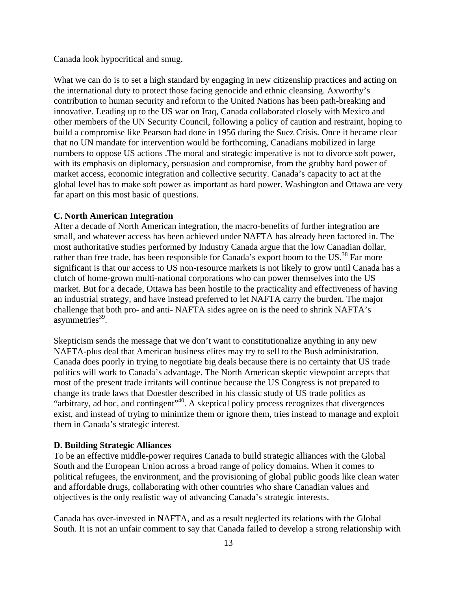Canada look hypocritical and smug.

What we can do is to set a high standard by engaging in new citizenship practices and acting on the international duty to protect those facing genocide and ethnic cleansing. Axworthy's contribution to human security and reform to the United Nations has been path-breaking and innovative. Leading up to the US war on Iraq, Canada collaborated closely with Mexico and other members of the UN Security Council, following a policy of caution and restraint, hoping to build a compromise like Pearson had done in 1956 during the Suez Crisis. Once it became clear that no UN mandate for intervention would be forthcoming, Canadians mobilized in large numbers to oppose US actions .The moral and strategic imperative is not to divorce soft power, with its emphasis on diplomacy, persuasion and compromise, from the grubby hard power of market access, economic integration and collective security. Canada's capacity to act at the global level has to make soft power as important as hard power. Washington and Ottawa are very far apart on this most basic of questions.

#### **C. North American Integration**

After a decade of North American integration, the macro-benefits of further integration are small, and whatever access has been achieved under NAFTA has already been factored in. The most authoritative studies performed by Industry Canada argue that the low Canadian dollar, rather than free trade, has been responsible for Canada's export boom to the  $US^{38}$  Far more significant is that our access to US non-resource markets is not likely to grow until Canada has a clutch of home-grown multi-national corporations who can power themselves into the US market. But for a decade, Ottawa has been hostile to the practicality and effectiveness of having an industrial strategy, and have instead preferred to let NAFTA carry the burden. The major challenge that both pro- and anti- NAFTA sides agree on is the need to shrink NAFTA's asymmetries $39$ .

Skepticism sends the message that we don't want to constitutionalize anything in any new NAFTA-plus deal that American business elites may try to sell to the Bush administration. Canada does poorly in trying to negotiate big deals because there is no certainty that US trade politics will work to Canada's advantage. The North American skeptic viewpoint accepts that most of the present trade irritants will continue because the US Congress is not prepared to change its trade laws that Doestler described in his classic study of US trade politics as "arbitrary, ad hoc, and contingent"<sup>40</sup>. A skeptical policy process recognizes that divergences exist, and instead of trying to minimize them or ignore them, tries instead to manage and exploit them in Canada's strategic interest.

#### **D. Building Strategic Alliances**

To be an effective middle-power requires Canada to build strategic alliances with the Global South and the European Union across a broad range of policy domains. When it comes to political refugees, the environment, and the provisioning of global public goods like clean water and affordable drugs, collaborating with other countries who share Canadian values and objectives is the only realistic way of advancing Canada's strategic interests.

Canada has over-invested in NAFTA, and as a result neglected its relations with the Global South. It is not an unfair comment to say that Canada failed to develop a strong relationship with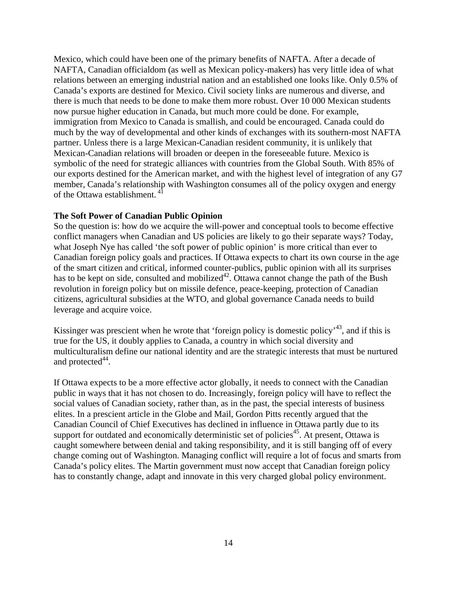Mexico, which could have been one of the primary benefits of NAFTA. After a decade of NAFTA, Canadian officialdom (as well as Mexican policy-makers) has very little idea of what relations between an emerging industrial nation and an established one looks like. Only 0.5% of Canada's exports are destined for Mexico. Civil society links are numerous and diverse, and there is much that needs to be done to make them more robust. Over 10 000 Mexican students now pursue higher education in Canada, but much more could be done. For example, immigration from Mexico to Canada is smallish, and could be encouraged. Canada could do much by the way of developmental and other kinds of exchanges with its southern-most NAFTA partner. Unless there is a large Mexican-Canadian resident community, it is unlikely that Mexican-Canadian relations will broaden or deepen in the foreseeable future. Mexico is symbolic of the need for strategic alliances with countries from the Global South. With 85% of our exports destined for the American market, and with the highest level of integration of any G7 member, Canada's relationship with Washington consumes all of the policy oxygen and energy of the Ottawa establishment.<sup>41</sup>

#### **The Soft Power of Canadian Public Opinion**

So the question is: how do we acquire the will-power and conceptual tools to become effective conflict managers when Canadian and US policies are likely to go their separate ways? Today, what Joseph Nye has called 'the soft power of public opinion' is more critical than ever to Canadian foreign policy goals and practices. If Ottawa expects to chart its own course in the age of the smart citizen and critical, informed counter-publics, public opinion with all its surprises has to be kept on side, consulted and mobilized<sup>42</sup>. Ottawa cannot change the path of the Bush revolution in foreign policy but on missile defence, peace-keeping, protection of Canadian citizens, agricultural subsidies at the WTO, and global governance Canada needs to build leverage and acquire voice.

Kissinger was prescient when he wrote that 'foreign policy is domestic policy'<sup>43</sup>, and if this is true for the US, it doubly applies to Canada, a country in which social diversity and multiculturalism define our national identity and are the strategic interests that must be nurtured and protected $44$ .

If Ottawa expects to be a more effective actor globally, it needs to connect with the Canadian public in ways that it has not chosen to do. Increasingly, foreign policy will have to reflect the social values of Canadian society, rather than, as in the past, the special interests of business elites. In a prescient article in the Globe and Mail, Gordon Pitts recently argued that the Canadian Council of Chief Executives has declined in influence in Ottawa partly due to its support for outdated and economically deterministic set of policies<sup>45</sup>. At present, Ottawa is caught somewhere between denial and taking responsibility, and it is still banging off of every change coming out of Washington. Managing conflict will require a lot of focus and smarts from Canada's policy elites. The Martin government must now accept that Canadian foreign policy has to constantly change, adapt and innovate in this very charged global policy environment.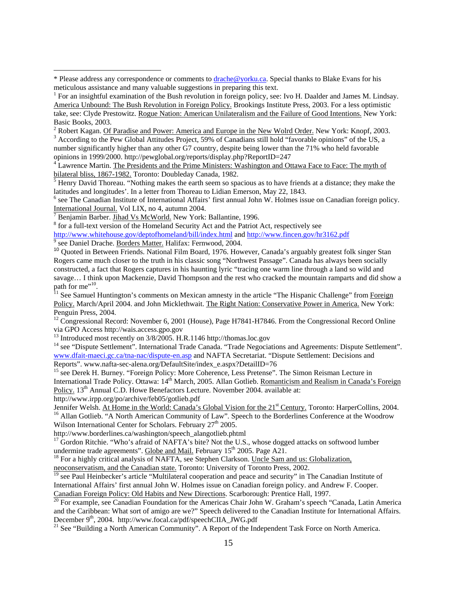<sup>2</sup> Robert Kagan. <u>Of Paradise and Power: America and Europe in the New Wolrd Order.</u> New York: Knopf, 2003.

<sup>3</sup> According to the Pew Global Attitudes Project, 59% of Canadians still hold "favorable opinions" of the US, a number significantly higher than any other G7 country, despite being lower than the 71% who held favorable opinions in 1999/2000. http://pewglobal.org/reports/display.php?ReportID=247 4

<sup>4</sup> Lawrence Martin. The Presidents and the Prime Ministers: Washington and Ottawa Face to Face: The myth of bilateral bliss, 1867-1982. Toronto: Doubleday Canada, 1982.

 $<sup>5</sup>$  Henry David Thoreau. "Nothing makes the earth seem so spacious as to have friends at a distance; they make the</sup> latitudes and longitudes'. In a letter from Thoreau to Lidian Emerson, May 22, 1843.

<sup>6</sup> see The Canadian Institute of International Affairs' first annual John W. Holmes issue on Canadian foreign policy. International Journal. Vol LIX, no 4, autumn 2004.

Benjamin Barber. Jihad Vs McWorld. New York: Ballantine, 1996.

 $\overline{a}$ 

<sup>8</sup> for a full-text version of the Homeland Security Act and the Patriot Act, respectively see

http://www.whitehouse.gov/deptofhomeland/bill/index.html and http://www.fincen.gov/hr3162.pdf see Daniel Drache. Borders Matter. Halifax: Fernwood, 2004.

<sup>10</sup> Quoted in Between Friends. National Film Board, 1976. However, Canada's arguably greatest folk singer Stan Rogers came much closer to the truth in his classic song "Northwest Passage". Canada has always been socially constructed, a fact that Rogers captures in his haunting lyric "tracing one warm line through a land so wild and savage... I think upon Mackenzie, David Thompson and the rest who cracked the mountain ramparts and did show a path for me"<sup>10</sup>.

<sup>11</sup> See Samuel Huntington's comments on Mexican amnesty in the article "The Hispanic Challenge" from Foreign Policy. March/April 2004. and John Micklethwait. The Right Nation: Conservative Power in America. New York: Penguin Press, 2004.

<sup>12</sup> Congressional Record: November 6, 2001 (House), Page H7841-H7846. From the Congressional Record Online via GPO Access http://wais.access.gpo.gov

<sup>13</sup> Introduced most recently on  $3/8/2005$ . H.R.1146 http://thomas.loc.gov

<sup>14</sup> see "Dispute Settlement". International Trade Canada. "Trade Negociations and Agreements: Dispute Settlement". www.dfait-maeci.gc.ca/tna-nac/dispute-en.asp and NAFTA Secretariat. "Dispute Settlement: Decisions and Reports". www.nafta-sec-alena.org/DefaultSite/index\_e.aspx?DetailID=76

<sup>15</sup> see Derek H. Burney. "Foreign Policy: More Coherence, Less Pretense". The Simon Reisman Lecture in International Trade Policy. Ottawa: 14<sup>th</sup> March, 2005. Allan Gotlieb. Romanticism and Realism in Canada's Foreign Policy. 13<sup>th</sup> Annual C.D. Howe Benefactors Lecture. November 2004. available at:

http://www.irpp.org/po/archive/feb05/gotlieb.pdf<br>Jennifer Welsh. At Home in the World: Canada's Global Vision for the 21<sup>st</sup> Century. Toronto: HarperCollins, 2004. <sup>16</sup> Allan Gotlieb. "A North American Community of Law". Speech to the Borderlines Conference at the Woodrow Wilson International Center for Scholars. February 27<sup>th</sup> 2005.

http://www.borderlines.ca/washington/speech\_alangotlieb.phtml

<sup>17</sup> Gordon Ritchie. "Who's afraid of NAFTA's bite? Not the U.S., whose dogged attacks on softwood lumber undermine trade agreements". Globe and Mail. February 15<sup>th</sup> 2005. Page A21.<br><sup>18</sup> For a highly critical analysis of NAFTA, see Stephen Clarkson. <u>Uncle Sam and us: Globalization</u>,

neoconservatism, and the Canadian state. Toronto: University of Toronto Press, 2002.

<sup>19</sup> see Paul Heinbecker's article "Multilateral cooperation and peace and security" in The Canadian Institute of International Affairs' first annual John W. Holmes issue on Canadian foreign policy. and Andrew F. Cooper. Canadian Foreign Policy: Old Habits and New Directions. Scarborough: Prentice Hall, 1997.<br><sup>20</sup> For example, see Canadian Foundation for the Americas Chair John W. Graham's speech "Canada, Latin America

and the Caribbean: What sort of amigo are we?" Speech delivered to the Canadian Institute for International Affairs.<br>December  $9<sup>th</sup>$ , 2004. http://www.focal.ca/pdf/speechCIIA JWG.pdf

<sup>21</sup> See "Building a North American Community". A Report of the Independent Task Force on North America.

<sup>\*</sup> Please address any correspondence or comments to drache@yorku.ca. Special thanks to Blake Evans for his meticulous assistance and many valuable suggestions in preparing this text.

<sup>&</sup>lt;sup>1</sup> For an insightful examination of the Bush revolution in foreign policy, see: Ivo H. Daalder and James M. Lindsay. America Unbound: The Bush Revolution in Foreign Policy. Brookings Institute Press, 2003. For a less optimistic take, see: Clyde Prestowitz. Rogue Nation: American Unilateralism and the Failure of Good Intentions. New York: Basic Books, 2003.